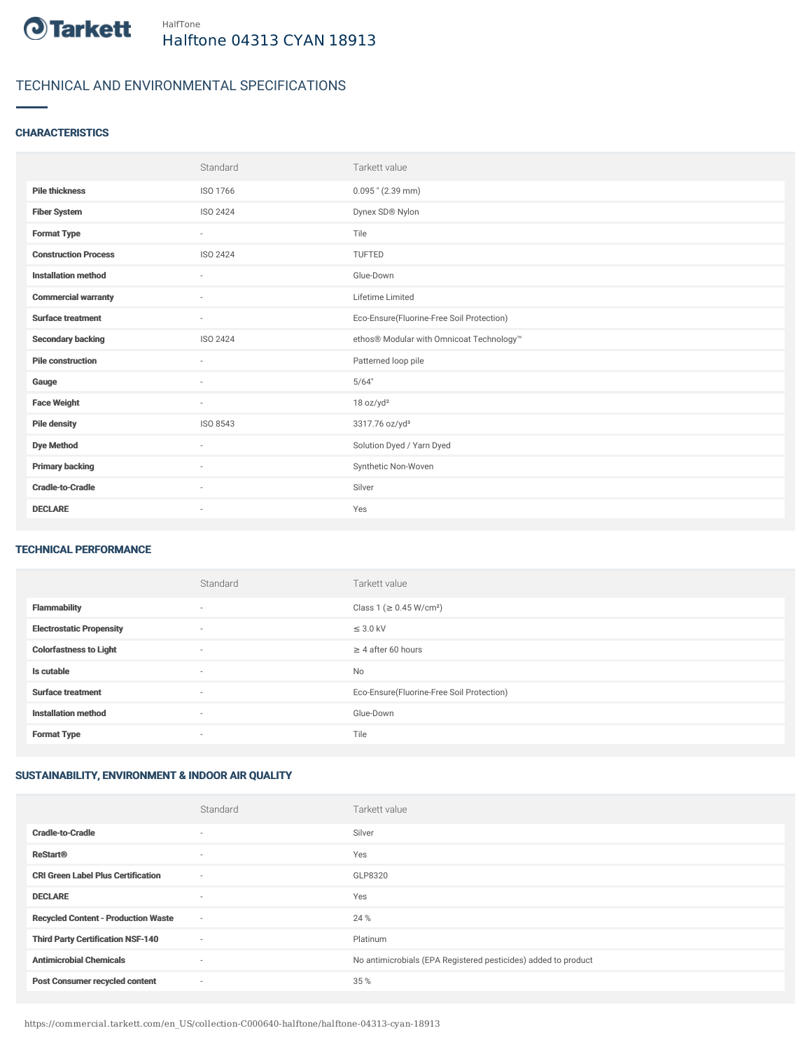

# TECHNICAL AND ENVIRONMENTAL SPECIFICATIONS

### **CHARACTERISTICS**

|                             | Standard        | Tarkett value                             |
|-----------------------------|-----------------|-------------------------------------------|
| <b>Pile thickness</b>       | ISO 1766        | $0.095$ " (2.39 mm)                       |
| <b>Fiber System</b>         | ISO 2424        | Dynex SD® Nylon                           |
| <b>Format Type</b>          | $\sim$          | Tile                                      |
| <b>Construction Process</b> | <b>ISO 2424</b> | <b>TUFTED</b>                             |
| <b>Installation method</b>  | $\sim$          | Glue-Down                                 |
| <b>Commercial warranty</b>  | $\sim$          | Lifetime Limited                          |
| <b>Surface treatment</b>    | $\sim$          | Eco-Ensure(Fluorine-Free Soil Protection) |
| <b>Secondary backing</b>    | <b>ISO 2424</b> | ethos® Modular with Omnicoat Technology™  |
| <b>Pile construction</b>    | $\sim$          | Patterned loop pile                       |
| Gauge                       | $\sim$          | 5/64"                                     |
| <b>Face Weight</b>          | $\sim$          | 18 oz/yd <sup>2</sup>                     |
| <b>Pile density</b>         | ISO 8543        | 3317.76 oz/yd <sup>3</sup>                |
| <b>Dye Method</b>           | ٠               | Solution Dyed / Yarn Dyed                 |
| <b>Primary backing</b>      | $\sim$          | Synthetic Non-Woven                       |
| <b>Cradle-to-Cradle</b>     | ٠               | Silver                                    |
| <b>DECLARE</b>              | ٠               | Yes                                       |

#### TECHNICAL PERFORMANCE

|                                 | Standard                 | Tarkett value                             |
|---------------------------------|--------------------------|-------------------------------------------|
| <b>Flammability</b>             | $\overline{\phantom{a}}$ | Class 1 (≥ 0.45 W/cm <sup>2</sup> )       |
| <b>Electrostatic Propensity</b> | $\sim$                   | $\leq$ 3.0 kV                             |
| <b>Colorfastness to Light</b>   | $\overline{\phantom{a}}$ | $\geq$ 4 after 60 hours                   |
| Is cutable                      | $\sim$                   | <b>No</b>                                 |
| <b>Surface treatment</b>        | $\sim$                   | Eco-Ensure(Fluorine-Free Soil Protection) |
| <b>Installation method</b>      | $\sim$                   | Glue-Down                                 |
| <b>Format Type</b>              | $\sim$                   | Tile                                      |

## SUSTAINABILITY, ENVIRONMENT & INDOOR AIR QUALITY

|                                            | Standard                 | Tarkett value                                                  |
|--------------------------------------------|--------------------------|----------------------------------------------------------------|
| <b>Cradle-to-Cradle</b>                    |                          | Silver                                                         |
| <b>ReStart®</b>                            | $\overline{\phantom{a}}$ | Yes                                                            |
| <b>CRI Green Label Plus Certification</b>  | ٠                        | GLP8320                                                        |
| <b>DECLARE</b>                             | $\overline{\phantom{a}}$ | Yes                                                            |
| <b>Recycled Content - Production Waste</b> | $\sim$                   | 24 %                                                           |
| <b>Third Party Certification NSF-140</b>   | ٠                        | Platinum                                                       |
| <b>Antimicrobial Chemicals</b>             | ٠                        | No antimicrobials (EPA Registered pesticides) added to product |
| <b>Post Consumer recycled content</b>      | $\overline{\phantom{a}}$ | 35 %                                                           |